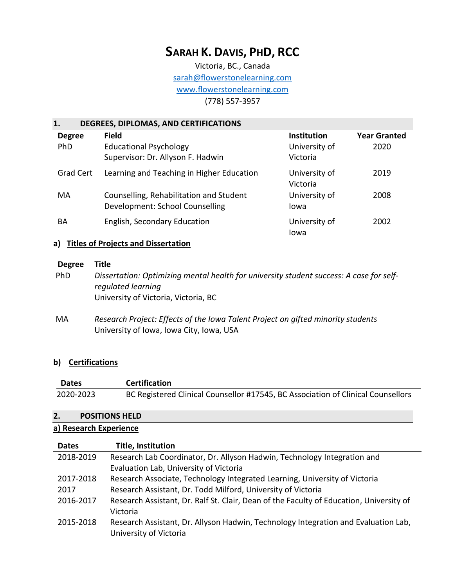# **SARAH K. DAVIS, PHD, RCC**

Victoria, BC., Canada [sarah@flowerstonelearning.com](mailto:sarah@flowerstonelearning.com) [www.flowerstonelearning.com](http://www.flowerstonelearning.com/) (778) 557-3957

## **1. DEGREES, DIPLOMAS, AND CERTIFICATIONS**

| <b>Degree</b><br><b>PhD</b> | <b>Field</b><br><b>Educational Psychology</b><br>Supervisor: Dr. Allyson F. Hadwin | <b>Institution</b><br>University of<br>Victoria | <b>Year Granted</b><br>2020 |
|-----------------------------|------------------------------------------------------------------------------------|-------------------------------------------------|-----------------------------|
| <b>Grad Cert</b>            | Learning and Teaching in Higher Education                                          | University of<br>Victoria                       | 2019                        |
| MA                          | Counselling, Rehabilitation and Student<br>Development: School Counselling         | University of<br>Iowa                           | 2008                        |
| BA                          | English, Secondary Education                                                       | University of<br>Iowa                           | 2002                        |

## **a) Titles of Projects and Dissertation**

| <b>Degree</b> | <b>Title</b>                                                                                                                                          |
|---------------|-------------------------------------------------------------------------------------------------------------------------------------------------------|
| <b>PhD</b>    | Dissertation: Optimizing mental health for university student success: A case for self-<br>regulated learning<br>University of Victoria, Victoria, BC |
| MA            | Research Project: Effects of the Iowa Talent Project on gifted minority students<br>University of Iowa, Iowa City, Iowa, USA                          |

## **b) Certifications**

| <b>Dates</b> | <b>Certification</b>                                                             |
|--------------|----------------------------------------------------------------------------------|
| 2020-2023    | BC Registered Clinical Counsellor #17545, BC Association of Clinical Counsellors |

#### **2. POSITIONS HELD**

#### **a) Research Experience**

| <b>Dates</b> | <b>Title, Institution</b>                                                               |
|--------------|-----------------------------------------------------------------------------------------|
| 2018-2019    | Research Lab Coordinator, Dr. Allyson Hadwin, Technology Integration and                |
|              | Evaluation Lab, University of Victoria                                                  |
| 2017-2018    | Research Associate, Technology Integrated Learning, University of Victoria              |
| 2017         | Research Assistant, Dr. Todd Milford, University of Victoria                            |
| 2016-2017    | Research Assistant, Dr. Ralf St. Clair, Dean of the Faculty of Education, University of |
|              | Victoria                                                                                |
| 2015-2018    | Research Assistant, Dr. Allyson Hadwin, Technology Integration and Evaluation Lab,      |
|              | University of Victoria                                                                  |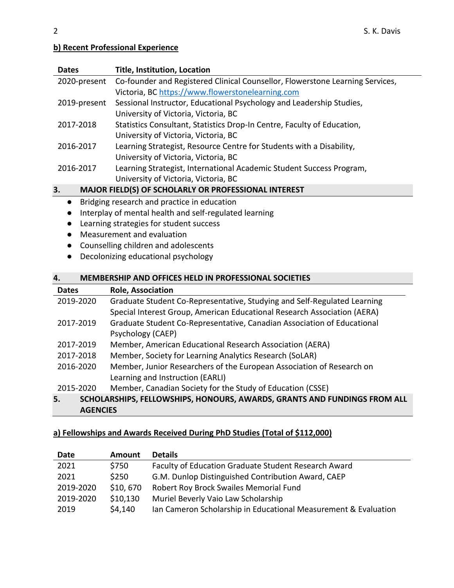## **b) Recent Professional Experience**

| <b>Dates</b>                                         | <b>Title, Institution, Location</b>                                           |  |
|------------------------------------------------------|-------------------------------------------------------------------------------|--|
| 2020-present                                         | Co-founder and Registered Clinical Counsellor, Flowerstone Learning Services, |  |
|                                                      | Victoria, BC https://www.flowerstonelearning.com                              |  |
| 2019-present                                         | Sessional Instructor, Educational Psychology and Leadership Studies,          |  |
|                                                      | University of Victoria, Victoria, BC                                          |  |
| 2017-2018                                            | Statistics Consultant, Statistics Drop-In Centre, Faculty of Education,       |  |
|                                                      | University of Victoria, Victoria, BC                                          |  |
| 2016-2017                                            | Learning Strategist, Resource Centre for Students with a Disability,          |  |
|                                                      | University of Victoria, Victoria, BC                                          |  |
| 2016-2017                                            | Learning Strategist, International Academic Student Success Program,          |  |
|                                                      | University of Victoria, Victoria, BC                                          |  |
| 3.                                                   | MAJOR FIELD(S) OF SCHOLARLY OR PROFESSIONAL INTEREST                          |  |
| $\bullet$                                            | Bridging research and practice in education                                   |  |
| $\bullet$                                            | Interplay of mental health and self-regulated learning                        |  |
| Learning strategies for student success<br>$\bullet$ |                                                                               |  |
| Measurement and evaluation<br>$\bullet$              |                                                                               |  |
| $\bullet$                                            | Counselling children and adolescents                                          |  |
|                                                      | Decolonizing educational psychology                                           |  |

## **4. MEMBERSHIP AND OFFICES HELD IN PROFESSIONAL SOCIETIES**

| <b>Dates</b> | <b>Role, Association</b>                                                 |
|--------------|--------------------------------------------------------------------------|
| 2019-2020    | Graduate Student Co-Representative, Studying and Self-Regulated Learning |
|              | Special Interest Group, American Educational Research Association (AERA) |
| 2017-2019    | Graduate Student Co-Representative, Canadian Association of Educational  |
|              | Psychology (CAEP)                                                        |
| 2017-2019    | Member, American Educational Research Association (AERA)                 |
| 2017-2018    | Member, Society for Learning Analytics Research (SoLAR)                  |
| 2016-2020    | Member, Junior Researchers of the European Association of Research on    |
|              | Learning and Instruction (EARLI)                                         |
| 2015-2020    | Member, Canadian Society for the Study of Education (CSSE)               |
| 5.           | SCHOLARSHIPS, FELLOWSHIPS, HONOURS, AWARDS, GRANTS AND FUNDINGS FROM ALL |

**AGENCIES**

# **a) Fellowships and Awards Received During PhD Studies (Total of \$112,000)**

| Date      | <b>Amount</b> | <b>Details</b>                                                  |
|-----------|---------------|-----------------------------------------------------------------|
| 2021      | \$750         | Faculty of Education Graduate Student Research Award            |
| 2021      | \$250         | G.M. Dunlop Distinguished Contribution Award, CAEP              |
| 2019-2020 | \$10,670      | Robert Roy Brock Swailes Memorial Fund                          |
| 2019-2020 | \$10,130      | Muriel Beverly Vaio Law Scholarship                             |
| 2019      | \$4,140       | Ian Cameron Scholarship in Educational Measurement & Evaluation |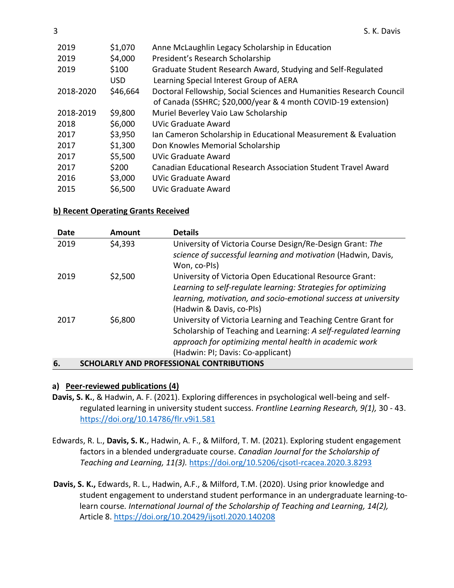| 2019      | \$1,070  | Anne McLaughlin Legacy Scholarship in Education                      |
|-----------|----------|----------------------------------------------------------------------|
| 2019      | \$4,000  | President's Research Scholarship                                     |
| 2019      | \$100    | Graduate Student Research Award, Studying and Self-Regulated         |
|           | USD.     | Learning Special Interest Group of AERA                              |
| 2018-2020 | \$46,664 | Doctoral Fellowship, Social Sciences and Humanities Research Council |
|           |          | of Canada (SSHRC; \$20,000/year & 4 month COVID-19 extension)        |
| 2018-2019 | \$9,800  | Muriel Beverley Vaio Law Scholarship                                 |
| 2018      | \$6,000  | UVic Graduate Award                                                  |
| 2017      | \$3,950  | Ian Cameron Scholarship in Educational Measurement & Evaluation      |
| 2017      | \$1,300  | Don Knowles Memorial Scholarship                                     |
| 2017      | \$5,500  | <b>UVic Graduate Award</b>                                           |
| 2017      | \$200    | Canadian Educational Research Association Student Travel Award       |
| 2016      | \$3,000  | UVic Graduate Award                                                  |
| 2015      | \$6,500  | UVic Graduate Award                                                  |

#### **b) Recent Operating Grants Received**

| Date | Amount  | <b>Details</b>                                                  |
|------|---------|-----------------------------------------------------------------|
| 2019 | \$4,393 | University of Victoria Course Design/Re-Design Grant: The       |
|      |         | science of successful learning and motivation (Hadwin, Davis,   |
|      |         | Won, co-Pls)                                                    |
| 2019 | \$2,500 | University of Victoria Open Educational Resource Grant:         |
|      |         | Learning to self-regulate learning: Strategies for optimizing   |
|      |         | learning, motivation, and socio-emotional success at university |
|      |         | (Hadwin & Davis, co-Pls)                                        |
| 2017 | \$6,800 | University of Victoria Learning and Teaching Centre Grant for   |
|      |         | Scholarship of Teaching and Learning: A self-regulated learning |
|      |         | approach for optimizing mental health in academic work          |
|      |         | (Hadwin: PI; Davis: Co-applicant)                               |
| 6.   |         | SCHOLARLY AND PROFESSIONAL CONTRIBUTIONS                        |

#### **a) Peer-reviewed publications (4)**

- **Davis, S. K.**, & Hadwin, A. F. (2021). Exploring differences in psychological well-being and selfregulated learning in university student success. *Frontline Learning Research, 9(1),* 30 - 43. <https://doi.org/10.14786/flr.v9i1.581>
- Edwards, R. L., **Davis, S. K.**, Hadwin, A. F., & Milford, T. M. (2021). Exploring student engagement factors in a blended undergraduate course. *Canadian Journal for the Scholarship of Teaching and Learning, 11(3).* <https://doi.org/10.5206/cjsotl-rcacea.2020.3.8293>
- **Davis, S. K.,** Edwards, R. L., Hadwin, A.F., & Milford, T.M. (2020). Using prior knowledge and student engagement to understand student performance in an undergraduate learning-tolearn course*. International Journal of the Scholarship of Teaching and Learning, 14(2),*  Article 8. <https://doi.org/10.20429/ijsotl.2020.140208>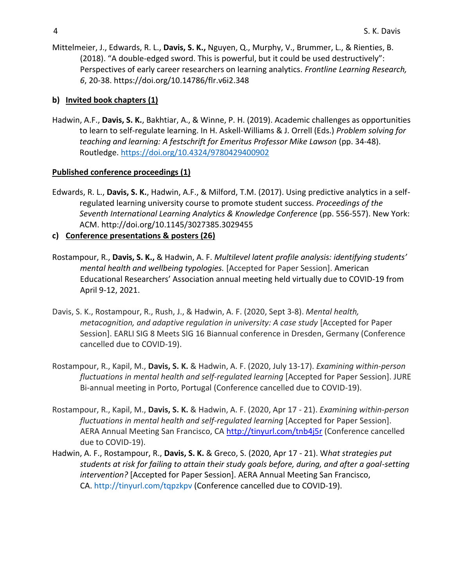Mittelmeier, J., Edwards, R. L., **Davis, S. K.,** Nguyen, Q., Murphy, V., Brummer, L., & Rienties, B. (2018). "A double-edged sword. This is powerful, but it could be used destructively": Perspectives of early career researchers on learning analytics. *Frontline Learning Research, 6*, 20-38. https://doi.org[/10.14786/flr.v6i2.348](https://doi.org/10.14786/flr.v6i2.348)

## **b) Invited book chapters (1)**

Hadwin, A.F., **Davis, S. K.**, Bakhtiar, A., & Winne, P. H. (2019). Academic challenges as opportunities to learn to self-regulate learning. In H. Askell-Williams & J. Orrell (Eds.) *Problem solving for teaching and learning: A festschrift for Emeritus Professor Mike Lawson* (pp. 34-48). Routledge.<https://doi.org/10.4324/9780429400902>

#### **Published conference proceedings (1)**

Edwards, R. L., **Davis, S. K.**, Hadwin, A.F., & Milford, T.M. (2017). Using predictive analytics in a selfregulated learning university course to promote student success. *Proceedings of the Seventh International Learning Analytics & Knowledge Conference* (pp. 556-557). New York: ACM. http://doi.org/10.1145/3027385.3029455

## **c) Conference presentations & posters (26)**

- Rostampour, R., **Davis, S. K.,** & Hadwin, A. F. *Multilevel latent profile analysis: identifying students' mental health and wellbeing typologies.* [Accepted for Paper Session]. American Educational Researchers' Association annual meeting held virtually due to COVID-19 from April 9-12, 2021.
- Davis, S. K., Rostampour, R., Rush, J., & Hadwin, A. F. (2020, Sept 3-8). *Mental health, metacognition, and adaptive regulation in university: A case study* [Accepted for Paper Session]. EARLI SIG 8 Meets SIG 16 Biannual conference in Dresden, Germany (Conference cancelled due to COVID-19).
- Rostampour, R., Kapil, M., **Davis, S. K.** & Hadwin, A. F. (2020, July 13-17). *Examining within-person fluctuations in mental health and self-regulated learning* [Accepted for Paper Session]. JURE Bi-annual meeting in Porto, Portugal (Conference cancelled due to COVID-19).
- Rostampour, R., Kapil, M., **Davis, S. K.** & Hadwin, A. F. (2020, Apr 17 21). *Examining within-person fluctuations in mental health and self-regulated learning* [Accepted for Paper Session]. AERA Annual Meeting San Francisco, CA <http://tinyurl.com/tnb4j5r> (Conference cancelled due to COVID-19).
- Hadwin, A. F., Rostampour, R., **Davis, S. K.** & Greco, S. (2020, Apr 17 21). W*hat strategies put students at risk for failing to attain their study goals before, during, and after a goal-setting intervention?* [Accepted for Paper Session]. AERA Annual Meeting San Francisco, CA. <http://tinyurl.com/tqpzkpv> (Conference cancelled due to COVID-19).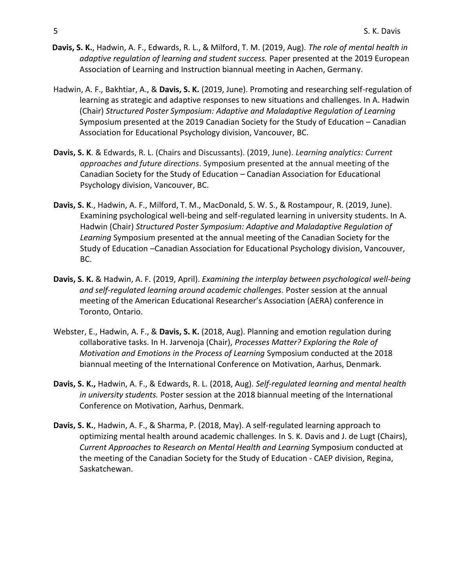- **Davis, S. K.**, Hadwin, A. F., Edwards, R. L., & Milford, T. M. (2019, Aug). *The role of mental health in adaptive regulation of learning and student success.* Paper presented at the 2019 European Association of Learning and Instruction biannual meeting in Aachen, Germany.
- Hadwin, A. F., Bakhtiar, A., & **Davis, S. K.** (2019, June). Promoting and researching self-regulation of learning as strategic and adaptive responses to new situations and challenges. In A. Hadwin (Chair) *Structured Poster Symposium: Adaptive and Maladaptive Regulation of Learning* Symposium presented at the 2019 Canadian Society for the Study of Education – Canadian Association for Educational Psychology division, Vancouver, BC.
- **Davis, S. K**. & Edwards, R. L. (Chairs and Discussants). (2019, June). *Learning analytics: Current approaches and future directions*. Symposium presented at the annual meeting of the Canadian Society for the Study of Education – Canadian Association for Educational Psychology division, Vancouver, BC.
- **Davis, S. K**., Hadwin, A. F., Milford, T. M., MacDonald, S. W. S., & Rostampour, R. (2019, June). Examining psychological well-being and self-regulated learning in university students. In A. Hadwin (Chair) *Structured Poster Symposium: Adaptive and Maladaptive Regulation of Learning* Symposium presented at the annual meeting of the Canadian Society for the Study of Education –Canadian Association for Educational Psychology division, Vancouver, BC.
- **Davis, S. K.** & Hadwin, A. F. (2019, April). *Examining the interplay between psychological well-being and self-regulated learning around academic challenges.* Poster session at the annual meeting of the American Educational Researcher's Association (AERA) conference in Toronto, Ontario.
- Webster, E., Hadwin, A. F., & **Davis, S. K.** (2018, Aug). Planning and emotion regulation during collaborative tasks. In H. Jarvenoja (Chair), *Processes Matter? Exploring the Role of Motivation and Emotions in the Process of Learning* Symposium conducted at the 2018 biannual meeting of the International Conference on Motivation, Aarhus, Denmark.
- **Davis, S. K.,** Hadwin, A. F., & Edwards, R. L. (2018, Aug). *Self-regulated learning and mental health in university students.* Poster session at the 2018 biannual meeting of the International Conference on Motivation, Aarhus, Denmark.
- **Davis, S. K.**, Hadwin, A. F., & Sharma, P. (2018, May). A self-regulated learning approach to optimizing mental health around academic challenges. In S. K. Davis and J. de Lugt (Chairs), *Current Approaches to Research on Mental Health and Learning* Symposium conducted at the meeting of the Canadian Society for the Study of Education - CAEP division, Regina, Saskatchewan.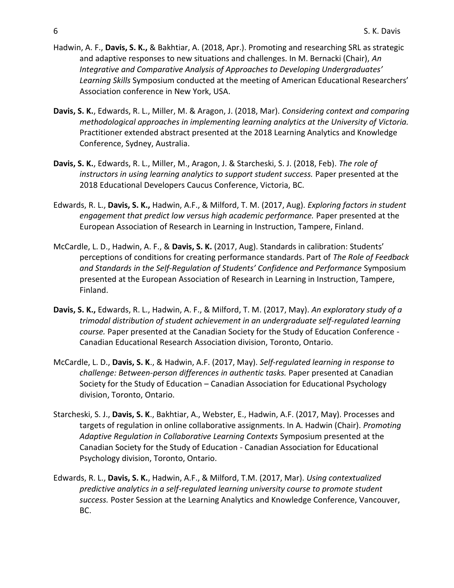- Hadwin, A. F., **Davis, S. K.,** & Bakhtiar, A. (2018, Apr.). Promoting and researching SRL as strategic and adaptive responses to new situations and challenges. In M. Bernacki (Chair), *An Integrative and Comparative Analysis of Approaches to Developing Undergraduates' Learning Skills* Symposium conducted at the meeting of American Educational Researchers' Association conference in New York, USA.
- **Davis, S. K.**, Edwards, R. L., Miller, M. & Aragon, J. (2018, Mar). *Considering context and comparing methodological approaches in implementing learning analytics at the University of Victoria.* Practitioner extended abstract presented at the 2018 Learning Analytics and Knowledge Conference, Sydney, Australia.
- **Davis, S. K.**, Edwards, R. L., Miller, M., Aragon, J. & Starcheski, S. J. (2018, Feb). *The role of instructors in using learning analytics to support student success.* Paper presented at the 2018 Educational Developers Caucus Conference, Victoria, BC.
- Edwards, R. L., **Davis, S. K.,** Hadwin, A.F., & Milford, T. M. (2017, Aug). *Exploring factors in student engagement that predict low versus high academic performance.* Paper presented at the European Association of Research in Learning in Instruction, Tampere, Finland.
- McCardle, L. D., Hadwin, A. F., & **Davis, S. K.** (2017, Aug). Standards in calibration: Students' perceptions of conditions for creating performance standards. Part of *The Role of Feedback and Standards in the Self-Regulation of Students' Confidence and Performance* Symposium presented at the European Association of Research in Learning in Instruction, Tampere, Finland.
- **Davis, S. K.,** Edwards, R. L., Hadwin, A. F., & Milford, T. M. (2017, May). *An exploratory study of a trimodal distribution of student achievement in an undergraduate self-regulated learning course.* Paper presented at the Canadian Society for the Study of Education Conference - Canadian Educational Research Association division, Toronto, Ontario.
- McCardle, L. D., **Davis, S. K**., & Hadwin, A.F. (2017, May). *Self-regulated learning in response to challenge: Between-person differences in authentic tasks.* Paper presented at Canadian Society for the Study of Education – Canadian Association for Educational Psychology division, Toronto, Ontario.
- Starcheski, S. J., **Davis, S. K**., Bakhtiar, A., Webster, E., Hadwin, A.F. (2017, May). Processes and targets of regulation in online collaborative assignments. In A. Hadwin (Chair). *Promoting Adaptive Regulation in Collaborative Learning Contexts* Symposium presented at the Canadian Society for the Study of Education - Canadian Association for Educational Psychology division, Toronto, Ontario.
- Edwards, R. L., **Davis, S. K.**, Hadwin, A.F., & Milford, T.M. (2017, Mar). *Using contextualized predictive analytics in a self-regulated learning university course to promote student success.* Poster Session at the Learning Analytics and Knowledge Conference, Vancouver, BC.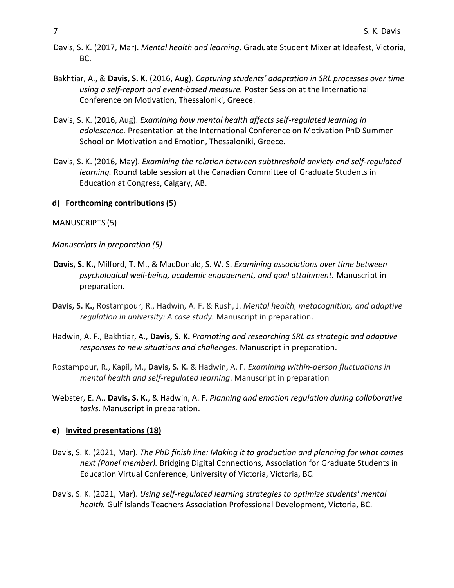- Davis, S. K. (2017, Mar). *Mental health and learning*. Graduate Student Mixer at Ideafest, Victoria, BC.
- Bakhtiar, A., & **Davis, S. K.** (2016, Aug). *Capturing students' adaptation in SRL processes over time using a self-report and event-based measure.* Poster Session at the International Conference on Motivation, Thessaloniki, Greece.
- Davis, S. K. (2016, Aug). *Examining how mental health affects self-regulated learning in adolescence.* Presentation at the International Conference on Motivation PhD Summer School on Motivation and Emotion, Thessaloniki, Greece.
- Davis, S. K. (2016, May). *Examining the relation between subthreshold anxiety and self-regulated learning.* Round table session at the Canadian Committee of Graduate Students in Education at Congress, Calgary, AB.

#### **d) Forthcoming contributions (5)**

MANUSCRIPTS (5)

*Manuscripts in preparation (5)*

- **Davis, S. K.,** Milford, T. M., & MacDonald, S. W. S. *Examining associations over time between psychological well-being, academic engagement, and goal attainment.* Manuscript in preparation.
- **Davis, S. K.,** Rostampour, R., Hadwin, A. F. & Rush, J. *Mental health, metacognition, and adaptive regulation in university: A case study.* Manuscript in preparation.
- Hadwin, A. F., Bakhtiar, A., **Davis, S. K.** *Promoting and researching SRL as strategic and adaptive responses to new situations and challenges.* Manuscript in preparation.
- Rostampour, R., Kapil, M., **Davis, S. K.** & Hadwin, A. F. *Examining within-person fluctuations in mental health and self-regulated learning*. Manuscript in preparation
- Webster, E. A., **Davis, S. K.**, & Hadwin, A. F. *Planning and emotion regulation during collaborative tasks.* Manuscript in preparation.

#### **e) Invited presentations (18)**

- Davis, S. K. (2021, Mar). *The PhD finish line: Making it to graduation and planning for what comes next (Panel member).* Bridging Digital Connections, Association for Graduate Students in Education Virtual Conference, University of Victoria, Victoria, BC.
- Davis, S. K. (2021, Mar). *Using self-regulated learning strategies to optimize students' mental health.* Gulf Islands Teachers Association Professional Development, Victoria, BC.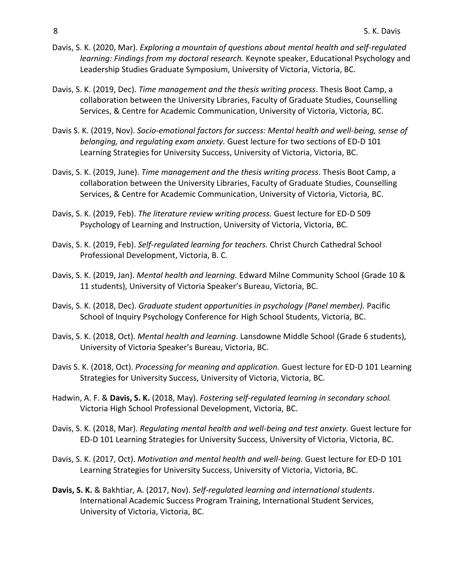- Davis, S. K. (2020, Mar). *Exploring a mountain of questions about mental health and self-regulated learning: Findings from my doctoral research.* Keynote speaker, Educational Psychology and Leadership Studies Graduate Symposium, University of Victoria, Victoria, BC.
- Davis, S. K. (2019, Dec). *Time management and the thesis writing process*. Thesis Boot Camp, a collaboration between the University Libraries, Faculty of Graduate Studies, Counselling Services, & Centre for Academic Communication, University of Victoria, Victoria, BC.
- Davis S. K. (2019, Nov). *Socio-emotional factors for success: Mental health and well-being, sense of belonging, and regulating exam anxiety.* Guest lecture for two sections of ED-D 101 Learning Strategies for University Success, University of Victoria, Victoria, BC.
- Davis, S. K. (2019, June). *Time management and the thesis writing process*. Thesis Boot Camp, a collaboration between the University Libraries, Faculty of Graduate Studies, Counselling Services, & Centre for Academic Communication, University of Victoria, Victoria, BC.
- Davis, S. K. (2019, Feb). *The literature review writing process.* Guest lecture for ED-D 509 Psychology of Learning and Instruction, University of Victoria, Victoria, BC.
- Davis, S. K. (2019, Feb). *Self-regulated learning for teachers.* Christ Church Cathedral School Professional Development, Victoria, B. C.
- Davis, S. K. (2019, Jan). *Mental health and learning.* Edward Milne Community School (Grade 10 & 11 students), University of Victoria Speaker's Bureau, Victoria, BC.
- Davis, S. K. (2018, Dec). *Graduate student opportunities in psychology (Panel member).* Pacific School of Inquiry Psychology Conference for High School Students, Victoria, BC.
- Davis, S. K. (2018, Oct). *Mental health and learning*. Lansdowne Middle School (Grade 6 students), University of Victoria Speaker's Bureau, Victoria, BC.
- Davis S. K. (2018, Oct). *Processing for meaning and application.* Guest lecture for ED-D 101 Learning Strategies for University Success, University of Victoria, Victoria, BC.
- Hadwin, A. F. & **Davis, S. K.** (2018, May). *Fostering* s*elf-regulated learning in secondary school.* Victoria High School Professional Development, Victoria, BC.
- Davis, S. K. (2018, Mar). *Regulating mental health and well-being and test anxiety.* Guest lecture for ED-D 101 Learning Strategies for University Success, University of Victoria, Victoria, BC.
- Davis, S. K. (2017, Oct). *Motivation and mental health and well-being.* Guest lecture for ED-D 101 Learning Strategies for University Success, University of Victoria, Victoria, BC.
- **Davis, S. K.** & Bakhtiar, A. (2017, Nov). *Self-regulated learning and international students*. International Academic Success Program Training, International Student Services, University of Victoria, Victoria, BC.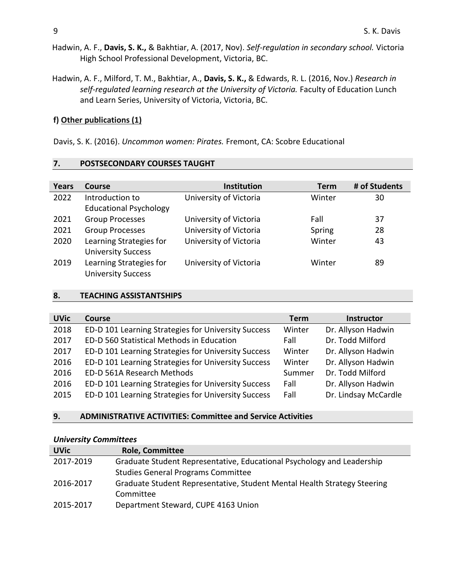- Hadwin, A. F., **Davis, S. K.,** & Bakhtiar, A. (2017, Nov). *Self-regulation in secondary school.* Victoria High School Professional Development, Victoria, BC.
- Hadwin, A. F., Milford, T. M., Bakhtiar, A., **Davis, S. K.,** & Edwards, R. L. (2016, Nov.) *Research in self-regulated learning research at the University of Victoria.* Faculty of Education Lunch and Learn Series, University of Victoria, Victoria, BC.

#### **f) Other publications (1)**

Davis, S. K. (2016). *Uncommon women: Pirates.* Fremont, CA: Scobre Educational

#### **7. POSTSECONDARY COURSES TAUGHT**

| Years | Course                        | Institution            | <b>Term</b> | # of Students |
|-------|-------------------------------|------------------------|-------------|---------------|
| 2022  | Introduction to               | University of Victoria | Winter      | 30            |
|       | <b>Educational Psychology</b> |                        |             |               |
| 2021  | <b>Group Processes</b>        | University of Victoria | Fall        | 37            |
| 2021  | <b>Group Processes</b>        | University of Victoria | Spring      | 28            |
| 2020  | Learning Strategies for       | University of Victoria | Winter      | 43            |
|       | <b>University Success</b>     |                        |             |               |
| 2019  | Learning Strategies for       | University of Victoria | Winter      | 89            |
|       | <b>University Success</b>     |                        |             |               |

#### **8. TEACHING ASSISTANTSHIPS**

| <b>UVic</b> | Course                                              | <b>Term</b> | <b>Instructor</b>    |
|-------------|-----------------------------------------------------|-------------|----------------------|
| 2018        | ED-D 101 Learning Strategies for University Success | Winter      | Dr. Allyson Hadwin   |
| 2017        | ED-D 560 Statistical Methods in Education           | Fall        | Dr. Todd Milford     |
| 2017        | ED-D 101 Learning Strategies for University Success | Winter      | Dr. Allyson Hadwin   |
| 2016        | ED-D 101 Learning Strategies for University Success | Winter      | Dr. Allyson Hadwin   |
| 2016        | ED-D 561A Research Methods                          | Summer      | Dr. Todd Milford     |
| 2016        | ED-D 101 Learning Strategies for University Success | Fall        | Dr. Allyson Hadwin   |
| 2015        | ED-D 101 Learning Strategies for University Success | Fall        | Dr. Lindsay McCardle |

#### **9. ADMINISTRATIVE ACTIVITIES: Committee and Service Activities**

#### *University Committees*

| <b>UVic</b> | <b>Role, Committee</b>                                                   |
|-------------|--------------------------------------------------------------------------|
| 2017-2019   | Graduate Student Representative, Educational Psychology and Leadership   |
|             | <b>Studies General Programs Committee</b>                                |
| 2016-2017   | Graduate Student Representative, Student Mental Health Strategy Steering |
|             | Committee                                                                |
| 2015-2017   | Department Steward, CUPE 4163 Union                                      |